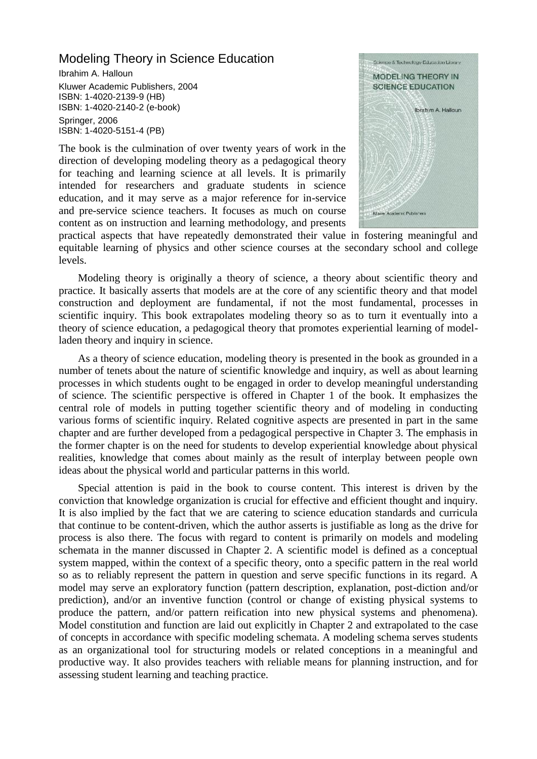## Modeling Theory in Science Education

Ibrahim A. Halloun Kluwer Academic Publishers, 2004 ISBN: 1-4020-2139-9 (HB) ISBN: 1-4020-2140-2 (e-book) Springer, 2006 ISBN: 1-4020-5151-4 (PB)

The book is the culmination of over twenty years of work in the direction of developing modeling theory as a pedagogical theory for teaching and learning science at all levels. It is primarily intended for researchers and graduate students in science education, and it may serve as a major reference for in-service and pre-service science teachers. It focuses as much on course content as on instruction and learning methodology, and presents



practical aspects that have repeatedly demonstrated their value in fostering meaningful and equitable learning of physics and other science courses at the secondary school and college levels.

Modeling theory is originally a theory of science, a theory about scientific theory and practice. It basically asserts that models are at the core of any scientific theory and that model construction and deployment are fundamental, if not the most fundamental, processes in scientific inquiry. This book extrapolates modeling theory so as to turn it eventually into a theory of science education, a pedagogical theory that promotes experiential learning of modelladen theory and inquiry in science.

As a theory of science education, modeling theory is presented in the book as grounded in a number of tenets about the nature of scientific knowledge and inquiry, as well as about learning processes in which students ought to be engaged in order to develop meaningful understanding of science. The scientific perspective is offered in Chapter 1 of the book. It emphasizes the central role of models in putting together scientific theory and of modeling in conducting various forms of scientific inquiry. Related cognitive aspects are presented in part in the same chapter and are further developed from a pedagogical perspective in Chapter 3. The emphasis in the former chapter is on the need for students to develop experiential knowledge about physical realities, knowledge that comes about mainly as the result of interplay between people own ideas about the physical world and particular patterns in this world.

Special attention is paid in the book to course content. This interest is driven by the conviction that knowledge organization is crucial for effective and efficient thought and inquiry. It is also implied by the fact that we are catering to science education standards and curricula that continue to be content-driven, which the author asserts is justifiable as long as the drive for process is also there. The focus with regard to content is primarily on models and modeling schemata in the manner discussed in Chapter 2. A scientific model is defined as a conceptual system mapped, within the context of a specific theory, onto a specific pattern in the real world so as to reliably represent the pattern in question and serve specific functions in its regard. A model may serve an exploratory function (pattern description, explanation, post-diction and/or prediction), and/or an inventive function (control or change of existing physical systems to produce the pattern, and/or pattern reification into new physical systems and phenomena). Model constitution and function are laid out explicitly in Chapter 2 and extrapolated to the case of concepts in accordance with specific modeling schemata. A modeling schema serves students as an organizational tool for structuring models or related conceptions in a meaningful and productive way. It also provides teachers with reliable means for planning instruction, and for assessing student learning and teaching practice.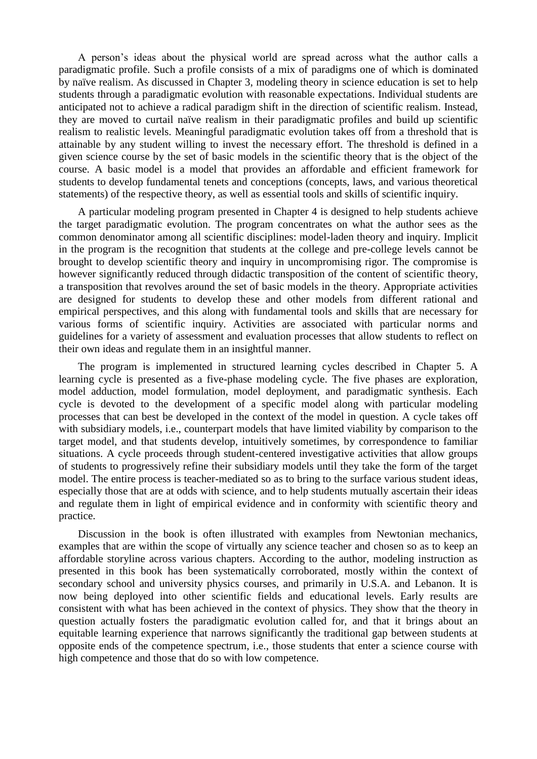A person's ideas about the physical world are spread across what the author calls a paradigmatic profile. Such a profile consists of a mix of paradigms one of which is dominated by naïve realism. As discussed in Chapter 3, modeling theory in science education is set to help students through a paradigmatic evolution with reasonable expectations. Individual students are anticipated not to achieve a radical paradigm shift in the direction of scientific realism. Instead, they are moved to curtail naïve realism in their paradigmatic profiles and build up scientific realism to realistic levels. Meaningful paradigmatic evolution takes off from a threshold that is attainable by any student willing to invest the necessary effort. The threshold is defined in a given science course by the set of basic models in the scientific theory that is the object of the course. A basic model is a model that provides an affordable and efficient framework for students to develop fundamental tenets and conceptions (concepts, laws, and various theoretical statements) of the respective theory, as well as essential tools and skills of scientific inquiry.

A particular modeling program presented in Chapter 4 is designed to help students achieve the target paradigmatic evolution. The program concentrates on what the author sees as the common denominator among all scientific disciplines: model-laden theory and inquiry. Implicit in the program is the recognition that students at the college and pre-college levels cannot be brought to develop scientific theory and inquiry in uncompromising rigor. The compromise is however significantly reduced through didactic transposition of the content of scientific theory, a transposition that revolves around the set of basic models in the theory. Appropriate activities are designed for students to develop these and other models from different rational and empirical perspectives, and this along with fundamental tools and skills that are necessary for various forms of scientific inquiry. Activities are associated with particular norms and guidelines for a variety of assessment and evaluation processes that allow students to reflect on their own ideas and regulate them in an insightful manner.

The program is implemented in structured learning cycles described in Chapter 5. A learning cycle is presented as a five-phase modeling cycle. The five phases are exploration, model adduction, model formulation, model deployment, and paradigmatic synthesis. Each cycle is devoted to the development of a specific model along with particular modeling processes that can best be developed in the context of the model in question. A cycle takes off with subsidiary models, i.e., counterpart models that have limited viability by comparison to the target model, and that students develop, intuitively sometimes, by correspondence to familiar situations. A cycle proceeds through student-centered investigative activities that allow groups of students to progressively refine their subsidiary models until they take the form of the target model. The entire process is teacher-mediated so as to bring to the surface various student ideas, especially those that are at odds with science, and to help students mutually ascertain their ideas and regulate them in light of empirical evidence and in conformity with scientific theory and practice.

Discussion in the book is often illustrated with examples from Newtonian mechanics, examples that are within the scope of virtually any science teacher and chosen so as to keep an affordable storyline across various chapters. According to the author, modeling instruction as presented in this book has been systematically corroborated, mostly within the context of secondary school and university physics courses, and primarily in U.S.A. and Lebanon. It is now being deployed into other scientific fields and educational levels. Early results are consistent with what has been achieved in the context of physics. They show that the theory in question actually fosters the paradigmatic evolution called for, and that it brings about an equitable learning experience that narrows significantly the traditional gap between students at opposite ends of the competence spectrum, i.e., those students that enter a science course with high competence and those that do so with low competence.